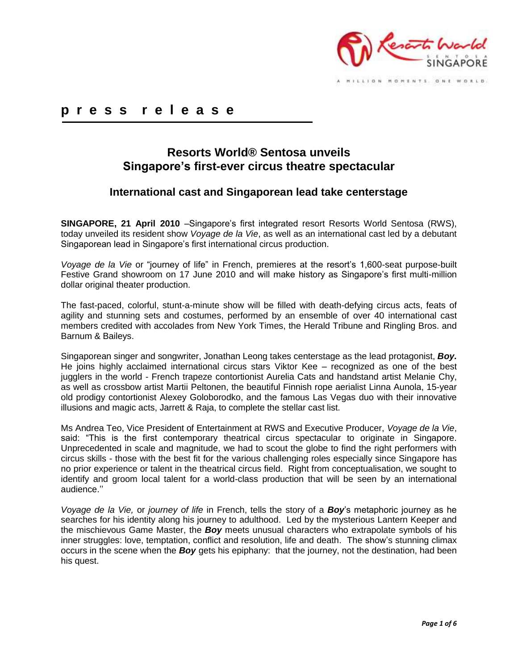

## **p r e s s r e l e a s e**

# **Resorts World® Sentosa unveils Singapore's first-ever circus theatre spectacular**

## **International cast and Singaporean lead take centerstage**

**SINGAPORE, 21 April 2010** –Singapore's first integrated resort Resorts World Sentosa (RWS), today unveiled its resident show *Voyage de la Vie*, as well as an international cast led by a debutant Singaporean lead in Singapore's first international circus production.

*Voyage de la Vie* or "journey of life" in French, premieres at the resort's 1,600-seat purpose-built Festive Grand showroom on 17 June 2010 and will make history as Singapore's first multi-million dollar original theater production.

The fast-paced, colorful, stunt-a-minute show will be filled with death-defying circus acts, feats of agility and stunning sets and costumes, performed by an ensemble of over 40 international cast members credited with accolades from New York Times, the Herald Tribune and Ringling Bros. and Barnum & Baileys.

Singaporean singer and songwriter, Jonathan Leong takes centerstage as the lead protagonist, *Boy.*  He joins highly acclaimed international circus stars Viktor Kee – recognized as one of the best jugglers in the world - French trapeze contortionist Aurelia Cats and handstand artist Melanie Chy, as well as crossbow artist Martii Peltonen, the beautiful Finnish rope aerialist Linna Aunola, 15-year old prodigy contortionist Alexey Goloborodko, and the famous Las Vegas duo with their innovative illusions and magic acts, Jarrett & Raja, to complete the stellar cast list.

Ms Andrea Teo, Vice President of Entertainment at RWS and Executive Producer, *Voyage de la Vie*, said: "This is the first contemporary theatrical circus spectacular to originate in Singapore. Unprecedented in scale and magnitude, we had to scout the globe to find the right performers with circus skills - those with the best fit for the various challenging roles especially since Singapore has no prior experience or talent in the theatrical circus field. Right from conceptualisation, we sought to identify and groom local talent for a world-class production that will be seen by an international audience.''

*Voyage de la Vie,* or *journey of life* in French, tells the story of a *Boy*'s metaphoric journey as he searches for his identity along his journey to adulthood. Led by the mysterious Lantern Keeper and the mischievous Game Master, the *Boy* meets unusual characters who extrapolate symbols of his inner struggles: love, temptation, conflict and resolution, life and death. The show's stunning climax occurs in the scene when the *Boy* gets his epiphany: that the journey, not the destination, had been his quest.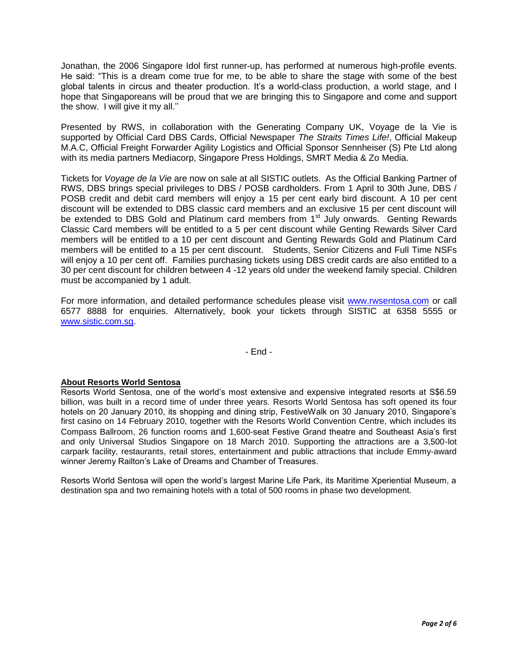Jonathan, the 2006 Singapore Idol first runner-up, has performed at numerous high-profile events. He said: "This is a dream come true for me, to be able to share the stage with some of the best global talents in circus and theater production. It's a world-class production, a world stage, and I hope that Singaporeans will be proud that we are bringing this to Singapore and come and support the show. I will give it my all.''

Presented by RWS, in collaboration with the Generating Company UK, Voyage de la Vie is supported by Official Card DBS Cards, Official Newspaper *The Straits Times Life!*, Official Makeup M.A.C, Official Freight Forwarder Agility Logistics and Official Sponsor Sennheiser (S) Pte Ltd along with its media partners Mediacorp, Singapore Press Holdings, SMRT Media & Zo Media.

Tickets for *Voyage de la Vie* are now on sale at all SISTIC outlets. As the Official Banking Partner of RWS, DBS brings special privileges to DBS / POSB cardholders. From 1 April to 30th June, DBS / POSB credit and debit card members will enjoy a 15 per cent early bird discount. A 10 per cent discount will be extended to DBS classic card members and an exclusive 15 per cent discount will be extended to DBS Gold and Platinum card members from 1<sup>st</sup> July onwards. Genting Rewards Classic Card members will be entitled to a 5 per cent discount while Genting Rewards Silver Card members will be entitled to a 10 per cent discount and Genting Rewards Gold and Platinum Card members will be entitled to a 15 per cent discount. Students, Senior Citizens and Full Time NSFs will enjoy a 10 per cent off. Families purchasing tickets using DBS credit cards are also entitled to a 30 per cent discount for children between 4 -12 years old under the weekend family special. Children must be accompanied by 1 adult.

For more information, and detailed performance schedules please visit [www.rwsentosa.com](http://www.rwsentosa.com/) or call 6577 8888 for enquiries. Alternatively, book your tickets through SISTIC at 6358 5555 or [www.sistic.com.sg.](http://www.sistic.com.sg/)

- End -

### **About Resorts World Sentosa**

Resorts World Sentosa, one of the world's most extensive and expensive integrated resorts at S\$6.59 billion, was built in a record time of under three years. Resorts World Sentosa has soft opened its four hotels on 20 January 2010, its shopping and dining strip, FestiveWalk on 30 January 2010, Singapore's first casino on 14 February 2010, together with the Resorts World Convention Centre, which includes its Compass Ballroom, 26 function rooms and 1,600-seat Festive Grand theatre and Southeast Asia's first and only Universal Studios Singapore on 18 March 2010. Supporting the attractions are a 3,500-lot carpark facility, restaurants, retail stores, entertainment and public attractions that include Emmy-award winner Jeremy Railton's Lake of Dreams and Chamber of Treasures.

Resorts World Sentosa will open the world's largest Marine Life Park, its Maritime Xperiential Museum, a destination spa and two remaining hotels with a total of 500 rooms in phase two development.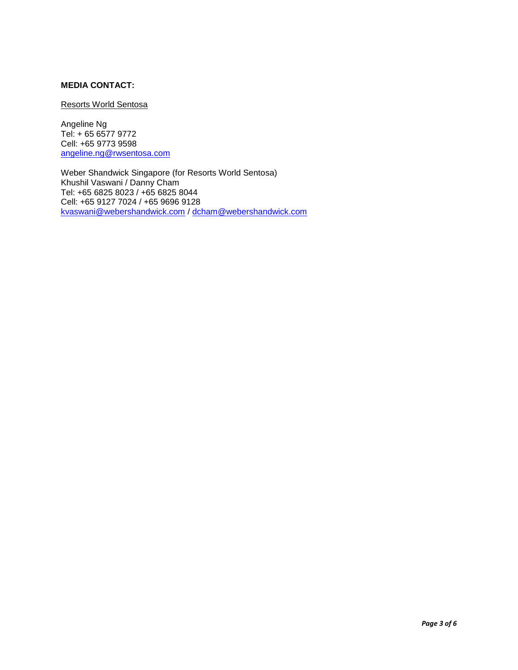## **MEDIA CONTACT:**

### Resorts World Sentosa

Angeline Ng Tel: + 65 6577 9772 Cell: +65 9773 9598 [angeline.ng@rwsentosa.com](mailto:angeline.ng@rwsentosa.com)

Weber Shandwick Singapore (for Resorts World Sentosa) Khushil Vaswani / Danny Cham Tel: +65 6825 8023 / +65 6825 8044 Cell: +65 9127 7024 / +65 9696 9128 [kvaswani@webershandwick.com](mailto:kvaswani@webershandwick.com) / [dcham@webershandwick.com](mailto:dcham@webershandwick.com)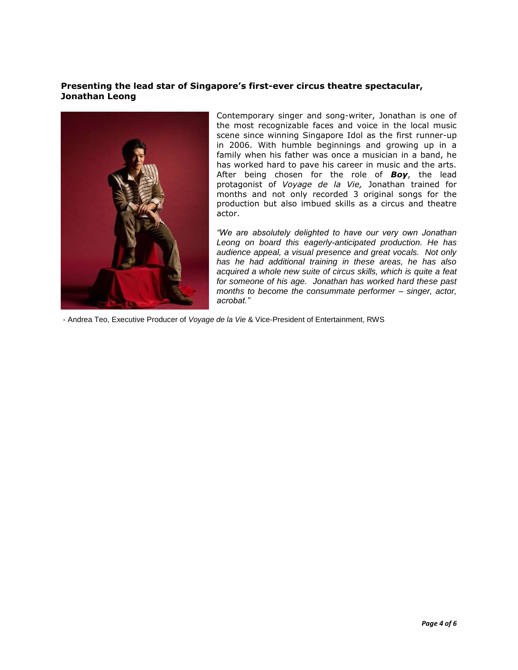### **Presenting the lead star of Singapore's first-ever circus theatre spectacular, Jonathan Leong**



Contemporary singer and song-writer, Jonathan is one of the most recognizable faces and voice in the local music scene since winning Singapore Idol as the first runner-up in 2006. With humble beginnings and growing up in a family when his father was once a musician in a band, he has worked hard to pave his career in music and the arts. After being chosen for the role of *Boy*, the lead protagonist of *Voyage de la Vie,* Jonathan trained for months and not only recorded 3 original songs for the production but also imbued skills as a circus and theatre actor.

*"We are absolutely delighted to have our very own Jonathan Leong on board this eagerly-anticipated production. He has audience appeal, a visual presence and great vocals. Not only has he had additional training in these areas, he has also acquired a whole new suite of circus skills, which is quite a feat for someone of his age. Jonathan has worked hard these past months to become the consummate performer – singer, actor, acrobat."* 

- Andrea Teo, Executive Producer of *Voyage de la Vie* & Vice-President of Entertainment, RWS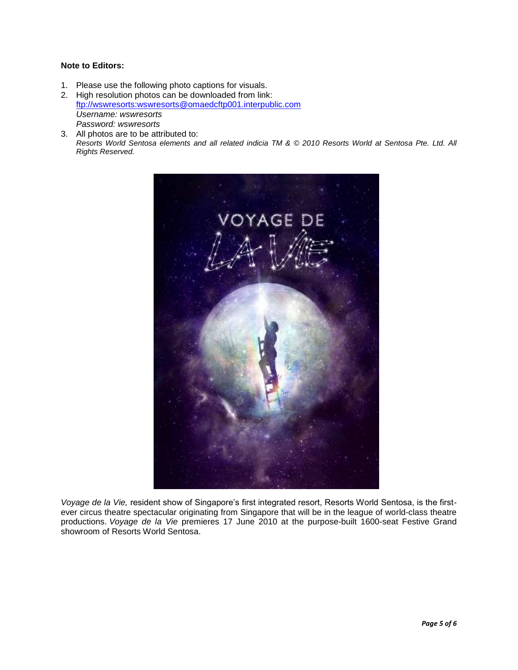### **Note to Editors:**

1. Please use the following photo captions for visuals.

2. High resolution photos can be downloaded from link: [ftp://wswresorts:wswresorts@omaedcftp001.interpublic.com](ftp://wswresorts:wswresorts@omaedcftp001.interpublic.com/) *Username: wswresorts Password: wswresorts*

3. All photos are to be attributed to: *Resorts World Sentosa elements and all related indicia TM & © 2010 Resorts World at Sentosa Pte. Ltd. All Rights Reserved.*



*Voyage de la Vie,* resident show of Singapore's first integrated resort, Resorts World Sentosa, is the firstever circus theatre spectacular originating from Singapore that will be in the league of world-class theatre productions. *Voyage de la Vie* premieres 17 June 2010 at the purpose-built 1600-seat Festive Grand showroom of Resorts World Sentosa.